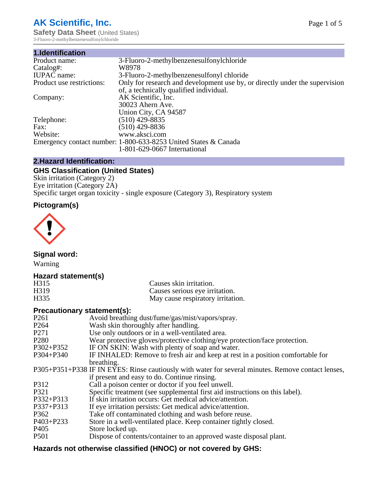# **AK Scientific, Inc.**

**Safety Data Sheet (United States)** 3-Fluoro-2-methylbenzenesulfonylchloride

| 1.Identification          |                                                                             |
|---------------------------|-----------------------------------------------------------------------------|
| Product name:             | 3-Fluoro-2-methylbenzenesulfonylchloride                                    |
| Catalog#:                 | W8978                                                                       |
| <b>IUPAC</b> name:        | 3-Fluoro-2-methylbenzenesulfonyl chloride                                   |
| Product use restrictions: | Only for research and development use by, or directly under the supervision |
|                           | of, a technically qualified individual.                                     |
| Company:                  | AK Scientific, Inc.                                                         |
|                           | 30023 Ahern Ave.                                                            |
|                           | Union City, CA 94587                                                        |
| Telephone:                | $(510)$ 429-8835                                                            |
| Fax:                      | $(510)$ 429-8836                                                            |
| Website:                  | www.aksci.com                                                               |
|                           | Emergency contact number: 1-800-633-8253 United States & Canada             |
|                           | 1-801-629-0667 International                                                |

## **2.Hazard Identification:**

# **GHS Classification (United States)**

Skin irritation (Category 2) Eye irritation (Category 2A) Specific target organ toxicity - single exposure (Category 3), Respiratory system

## **Pictogram(s)**



**Signal word:**

Warning

## **Hazard statement(s)**

| H <sub>315</sub>  | Causes skin irritation.           |
|-------------------|-----------------------------------|
| H <sub>3</sub> 19 | Causes serious eye irritation.    |
| H335              | May cause respiratory irritation. |

## **Precautionary statement(s):**

| P <sub>261</sub> | Avoid breathing dust/fume/gas/mist/vapors/spray.                                                   |
|------------------|----------------------------------------------------------------------------------------------------|
| P <sub>264</sub> | Wash skin thoroughly after handling.                                                               |
| P <sub>271</sub> | Use only outdoors or in a well-ventilated area.                                                    |
| P <sub>280</sub> | Wear protective gloves/protective clothing/eye protection/face protection.                         |
| P302+P352        | IF ON SKIN: Wash with plenty of soap and water.                                                    |
| $P304 + P340$    | IF INHALED: Remove to fresh air and keep at rest in a position comfortable for                     |
|                  | breathing.                                                                                         |
|                  | P305+P351+P338 IF IN EYES: Rinse cautiously with water for several minutes. Remove contact lenses, |
|                  | if present and easy to do. Continue rinsing.                                                       |
| P312             | Call a poison center or doctor if you feel unwell.                                                 |
| P321             | Specific treatment (see supplemental first aid instructions on this label).                        |
| P332+P313        | If skin irritation occurs: Get medical advice/attention.                                           |
| P337+P313        | If eye irritation persists: Get medical advice/attention.                                          |
| P362             | Take off contaminated clothing and wash before reuse.                                              |
| P403+P233        | Store in a well-ventilated place. Keep container tightly closed.                                   |
| P <sub>405</sub> | Store locked up.                                                                                   |
| P <sub>501</sub> | Dispose of contents/container to an approved waste disposal plant.                                 |
|                  |                                                                                                    |

# **Hazards not otherwise classified (HNOC) or not covered by GHS:**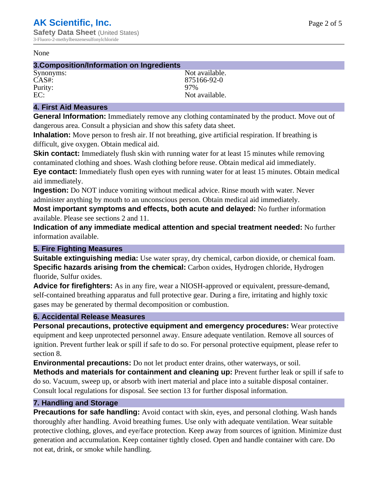#### None

#### **3.Composition/Information on Ingredients**

Purity:<br>EC:

Synonyms: Not available. CAS#: 875166-92-0<br>Purity: 97% 97% Not available.

## **4. First Aid Measures**

**General Information:** Immediately remove any clothing contaminated by the product. Move out of dangerous area. Consult a physician and show this safety data sheet.

**Inhalation:** Move person to fresh air. If not breathing, give artificial respiration. If breathing is difficult, give oxygen. Obtain medical aid.

**Skin contact:** Immediately flush skin with running water for at least 15 minutes while removing contaminated clothing and shoes. Wash clothing before reuse. Obtain medical aid immediately. **Eye contact:** Immediately flush open eyes with running water for at least 15 minutes. Obtain medical aid immediately.

**Ingestion:** Do NOT induce vomiting without medical advice. Rinse mouth with water. Never administer anything by mouth to an unconscious person. Obtain medical aid immediately.

**Most important symptoms and effects, both acute and delayed:** No further information available. Please see sections 2 and 11.

**Indication of any immediate medical attention and special treatment needed:** No further information available.

## **5. Fire Fighting Measures**

**Suitable extinguishing media:** Use water spray, dry chemical, carbon dioxide, or chemical foam. **Specific hazards arising from the chemical:** Carbon oxides, Hydrogen chloride, Hydrogen fluoride, Sulfur oxides.

**Advice for firefighters:** As in any fire, wear a NIOSH-approved or equivalent, pressure-demand, self-contained breathing apparatus and full protective gear. During a fire, irritating and highly toxic gases may be generated by thermal decomposition or combustion.

## **6. Accidental Release Measures**

**Personal precautions, protective equipment and emergency procedures:** Wear protective equipment and keep unprotected personnel away. Ensure adequate ventilation. Remove all sources of ignition. Prevent further leak or spill if safe to do so. For personal protective equipment, please refer to section 8.

**Environmental precautions:** Do not let product enter drains, other waterways, or soil.

**Methods and materials for containment and cleaning up:** Prevent further leak or spill if safe to do so. Vacuum, sweep up, or absorb with inert material and place into a suitable disposal container. Consult local regulations for disposal. See section 13 for further disposal information.

## **7. Handling and Storage**

**Precautions for safe handling:** Avoid contact with skin, eyes, and personal clothing. Wash hands thoroughly after handling. Avoid breathing fumes. Use only with adequate ventilation. Wear suitable protective clothing, gloves, and eye/face protection. Keep away from sources of ignition. Minimize dust generation and accumulation. Keep container tightly closed. Open and handle container with care. Do not eat, drink, or smoke while handling.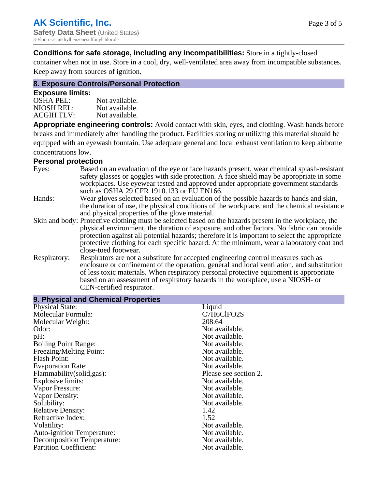**Conditions for safe storage, including any incompatibilities:** Store in a tightly-closed

container when not in use. Store in a cool, dry, well-ventilated area away from incompatible substances. Keep away from sources of ignition.

## **8. Exposure Controls/Personal Protection**

## **Exposure limits:**

| <b>OSHA PEL:</b>  | Not available. |
|-------------------|----------------|
| NIOSH REL:        | Not available. |
| <b>ACGIH TLV:</b> | Not available. |

**Appropriate engineering controls:** Avoid contact with skin, eyes, and clothing. Wash hands before breaks and immediately after handling the product. Facilities storing or utilizing this material should be equipped with an eyewash fountain. Use adequate general and local exhaust ventilation to keep airborne concentrations low.

#### **Personal protection**

| Eyes:        | Based on an evaluation of the eye or face hazards present, wear chemical splash-resistant<br>safety glasses or goggles with side protection. A face shield may be appropriate in some<br>workplaces. Use eyewear tested and approved under appropriate government standards<br>such as OSHA 29 CFR 1910.133 or EU EN166. |
|--------------|--------------------------------------------------------------------------------------------------------------------------------------------------------------------------------------------------------------------------------------------------------------------------------------------------------------------------|
| Hands:       | Wear gloves selected based on an evaluation of the possible hazards to hands and skin,                                                                                                                                                                                                                                   |
|              | the duration of use, the physical conditions of the workplace, and the chemical resistance<br>and physical properties of the glove material.                                                                                                                                                                             |
|              | Skin and body: Protective clothing must be selected based on the hazards present in the workplace, the                                                                                                                                                                                                                   |
|              | physical environment, the duration of exposure, and other factors. No fabric can provide                                                                                                                                                                                                                                 |
|              | protection against all potential hazards; therefore it is important to select the appropriate<br>protective clothing for each specific hazard. At the minimum, wear a laboratory coat and                                                                                                                                |
|              | close-toed footwear.                                                                                                                                                                                                                                                                                                     |
| Respiratory: | Respirators are not a substitute for accepted engineering control measures such as<br>enclosure or confinement of the operation, general and local ventilation, and substitution                                                                                                                                         |
|              | of less toxic materials. When respiratory personal protective equipment is appropriate                                                                                                                                                                                                                                   |
|              | based on an assessment of respiratory hazards in the workplace, use a NIOSH- or<br>CEN-certified respirator.                                                                                                                                                                                                             |
|              |                                                                                                                                                                                                                                                                                                                          |

| 9. Physical and Chemical Properties |                       |
|-------------------------------------|-----------------------|
| <b>Physical State:</b>              | Liquid                |
| Molecular Formula:                  | C7H6ClFO2S            |
| Molecular Weight:                   | 208.64                |
| Odor:                               | Not available.        |
| pH:                                 | Not available.        |
| <b>Boiling Point Range:</b>         | Not available.        |
| Freezing/Melting Point:             | Not available.        |
| <b>Flash Point:</b>                 | Not available.        |
| <b>Evaporation Rate:</b>            | Not available.        |
| Flammability (solid, gas):          | Please see section 2. |
| Explosive limits:                   | Not available.        |
| Vapor Pressure:                     | Not available.        |
| Vapor Density:                      | Not available.        |
| Solubility:                         | Not available.        |
| <b>Relative Density:</b>            | 1.42                  |
| Refractive Index:                   | 1.52                  |
| Volatility:                         | Not available.        |
| <b>Auto-ignition Temperature:</b>   | Not available.        |
| Decomposition Temperature:          | Not available.        |
| <b>Partition Coefficient:</b>       | Not available.        |
|                                     |                       |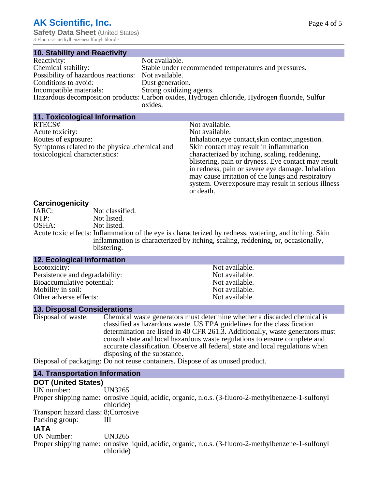3-Fluoro-2-methylbenzenesulfonylchloride

| <b>10. Stability and Reactivity</b> |                                                                                               |
|-------------------------------------|-----------------------------------------------------------------------------------------------|
| Reactivity:                         | Not available.                                                                                |
| Chemical stability:                 | Stable under recommended temperatures and pressures.                                          |
| Possibility of hazardous reactions: | Not available.                                                                                |
| Conditions to avoid:                | Dust generation.                                                                              |
| Incompatible materials:             | Strong oxidizing agents.                                                                      |
|                                     | Hazardous decomposition products: Carbon oxides, Hydrogen chloride, Hydrogen fluoride, Sulfur |
|                                     | oxides.                                                                                       |

| 11. Toxicological Information                                                                                                        |                                                                                                                                                                                                                                                                                                                                                                                                                       |
|--------------------------------------------------------------------------------------------------------------------------------------|-----------------------------------------------------------------------------------------------------------------------------------------------------------------------------------------------------------------------------------------------------------------------------------------------------------------------------------------------------------------------------------------------------------------------|
| RTECS#<br>Acute toxicity:<br>Routes of exposure:<br>Symptoms related to the physical, chemical and<br>toxicological characteristics: | Not available.<br>Not available.<br>Inhalation, eye contact, skin contact, ingestion.<br>Skin contact may result in inflammation<br>characterized by itching, scaling, reddening,<br>blistering, pain or dryness. Eye contact may result<br>in redness, pain or severe eye damage. Inhalation<br>may cause irritation of the lungs and respiratory<br>system. Overexposure may result in serious illness<br>or death. |
|                                                                                                                                      |                                                                                                                                                                                                                                                                                                                                                                                                                       |

## **Carcinogenicity**

| 34.3  |                                                                                                       |
|-------|-------------------------------------------------------------------------------------------------------|
| IARC: | Not classified.                                                                                       |
| NTP:  | Not listed.                                                                                           |
| OSHA: | Not listed.                                                                                           |
|       | Acute toxic effects: Inflammation of the eye is characterized by redness, watering, and itching. Skin |
|       | inflammation is characterized by itching, scaling, reddening, or, occasionally,                       |
|       | blistering.                                                                                           |

Not available. Not available. Not available. Not available. Not available.

# **12. Ecological Information**

| Ecotoxicity:                   |  |
|--------------------------------|--|
| Persistence and degradability: |  |
| Bioaccumulative potential:     |  |
| Mobility in soil:              |  |
| Other adverse effects:         |  |
|                                |  |

## **13. Disposal Considerations**

| Disposal of waste: | Chemical waste generators must determine whether a discarded chemical is       |
|--------------------|--------------------------------------------------------------------------------|
|                    | classified as hazardous waste. US EPA guidelines for the classification        |
|                    | determination are listed in 40 CFR 261.3. Additionally, waste generators must  |
|                    | consult state and local hazardous waste regulations to ensure complete and     |
|                    | accurate classification. Observe all federal, state and local regulations when |
|                    | disposing of the substance.                                                    |
| $\mathbf{r}$ .     |                                                                                |

Disposal of packaging: Do not reuse containers. Dispose of as unused product.

### **14. Transportation Information**

## **DOT (United States)**

| <b>POT TOMICA ORIGIN</b>             |                                                                                                                  |
|--------------------------------------|------------------------------------------------------------------------------------------------------------------|
| UN number:                           | UN3265                                                                                                           |
|                                      | Proper shipping name: orrosive liquid, acidic, organic, n.o.s. (3-fluoro-2-methylbenzene-1-sulfonyl              |
|                                      | chloride)                                                                                                        |
| Transport hazard class: 8; Corrosive |                                                                                                                  |
| Packing group:                       |                                                                                                                  |
| <b>IATA</b>                          |                                                                                                                  |
| UN Number:                           | UN3265                                                                                                           |
|                                      | Proper shipping name: orrosive liquid, acidic, organic, n.o.s. (3-fluoro-2-methylbenzene-1-sulfonyl<br>chloride) |